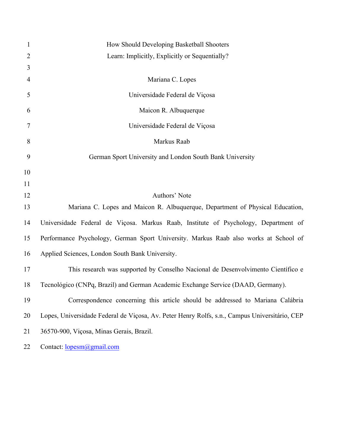| $\mathbf{1}$   | How Should Developing Basketball Shooters                                                     |
|----------------|-----------------------------------------------------------------------------------------------|
| $\overline{2}$ | Learn: Implicitly, Explicitly or Sequentially?                                                |
| 3              |                                                                                               |
| 4              | Mariana C. Lopes                                                                              |
| 5              | Universidade Federal de Viçosa                                                                |
| 6              | Maicon R. Albuquerque                                                                         |
| 7              | Universidade Federal de Viçosa                                                                |
| 8              | Markus Raab                                                                                   |
| 9              | German Sport University and London South Bank University                                      |
| 10             |                                                                                               |
| 11             |                                                                                               |
| 12             | Authors' Note                                                                                 |
| 13             | Mariana C. Lopes and Maicon R. Albuquerque, Department of Physical Education,                 |
| 14             | Universidade Federal de Viçosa. Markus Raab, Institute of Psychology, Department of           |
| 15             | Performance Psychology, German Sport University. Markus Raab also works at School of          |
| 16             | Applied Sciences, London South Bank University.                                               |
| 17             | This research was supported by Conselho Nacional de Desenvolvimento Científico e              |
| 18             | Tecnológico (CNPq, Brazil) and German Academic Exchange Service (DAAD, Germany).              |
| 19             | Correspondence concerning this article should be addressed to Mariana Calábria                |
| 20             | Lopes, Universidade Federal de Viçosa, Av. Peter Henry Rolfs, s.n., Campus Universitário, CEP |
| 21             | 36570-900, Viçosa, Minas Gerais, Brazil.                                                      |
| 22             | Contact: lopesm@gmail.com                                                                     |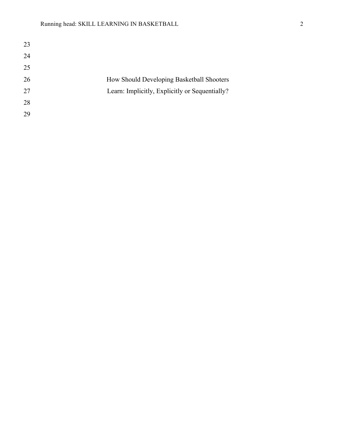| 23 |                                                |
|----|------------------------------------------------|
| 24 |                                                |
| 25 |                                                |
| 26 | How Should Developing Basketball Shooters      |
| 27 | Learn: Implicitly, Explicitly or Sequentially? |
| 28 |                                                |
| 29 |                                                |
|    |                                                |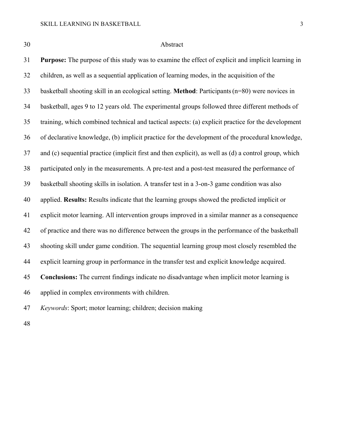## Abstract

 **Purpose:** The purpose of this study was to examine the effect of explicit and implicit learning in children, as well as a sequential application of learning modes, in the acquisition of the basketball shooting skill in an ecological setting. **Method**: Participants(n=80) were novices in basketball, ages 9 to 12 years old. The experimental groups followed three different methods of training, which combined technical and tactical aspects: (a) explicit practice for the development of declarative knowledge, (b) implicit practice for the development of the procedural knowledge, and (c) sequential practice (implicit first and then explicit), as well as (d) a control group, which participated only in the measurements. A pre-test and a post-test measured the performance of basketball shooting skills in isolation. A transfer test in a 3-on-3 game condition was also applied. **Results:** Results indicate that the learning groups showed the predicted implicit or explicit motor learning. All intervention groups improved in a similar manner as a consequence of practice and there was no difference between the groups in the performance of the basketball shooting skill under game condition. The sequential learning group most closely resembled the explicit learning group in performance in the transfer test and explicit knowledge acquired. **Conclusions:** The current findings indicate no disadvantage when implicit motor learning is applied in complex environments with children. *Keywords*: Sport; motor learning; children; decision making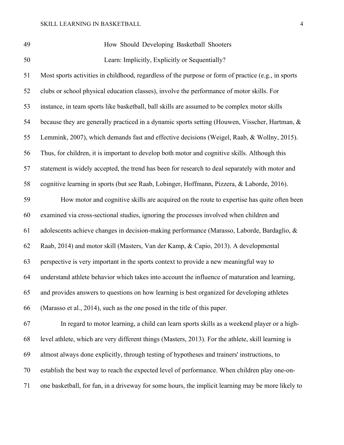| ٠ | I<br>۰.<br>٠ |
|---|--------------|
|---|--------------|

How Should Developing Basketball Shooters

Learn: Implicitly, Explicitly or Sequentially?

 Most sports activities in childhood, regardless of the purpose or form of practice (e.g., in sports clubs or school physical education classes), involve the performance of motor skills. For instance, in team sports like basketball, ball skills are assumed to be complex motor skills because they are generally practiced in a dynamic sports setting (Houwen, Visscher, Hartman, & Lemmink, 2007), which demands fast and effective decisions (Weigel, Raab, & Wollny, 2015). Thus, for children, it is important to develop both motor and cognitive skills. Although this statement is widely accepted, the trend has been for research to deal separately with motor and cognitive learning in sports (but see Raab, Lobinger, Hoffmann, Pizzera, & Laborde, 2016). How motor and cognitive skills are acquired on the route to expertise has quite often been examined via cross-sectional studies, ignoring the processes involved when children and adolescents achieve changes in decision-making performance (Marasso, Laborde, Bardaglio, & Raab, 2014) and motor skill (Masters, Van der Kamp, & Capio, 2013). A developmental perspective is very important in the sports context to provide a new meaningful way to understand athlete behavior which takes into account the influence of maturation and learning, and provides answers to questions on how learning is best organized for developing athletes

(Marasso et al., 2014), such as the one posed in the title of this paper.

 In regard to motor learning, a child can learn sports skills as a weekend player or a high- level athlete, which are very different things (Masters, 2013). For the athlete, skill learning is almost always done explicitly, through testing of hypotheses and trainers' instructions, to establish the best way to reach the expected level of performance. When children play one-on-one basketball, for fun, in a driveway for some hours, the implicit learning may be more likely to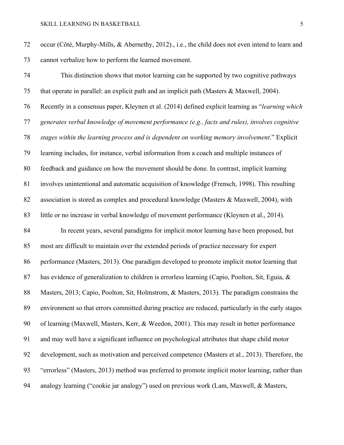occur (Côté, Murphy-Mills, & Abernethy, 2012)., i.e., the child does not even intend to learn and cannot verbalize how to perform the learned movement.

 This distinction shows that motor learning can be supported by two cognitive pathways that operate in parallel: an explicit path and an implicit path (Masters & Maxwell, 2004). Recently in a consensus paper, Kleynen et al. (2014) defined explicit learning as "*learning which generates verbal knowledge of movement performance (e.g., facts and rules), involves cognitive stages within the learning process and is dependent on working memory involvement*." Explicit learning includes, for instance, verbal information from a coach and multiple instances of feedback and guidance on how the movement should be done. In contrast, implicit learning involves unintentional and automatic acquisition of knowledge (Frensch, 1998). This resulting association is stored as complex and procedural knowledge (Masters & Maxwell, 2004), with little or no increase in verbal knowledge of movement performance (Kleynen et al., 2014). In recent years, several paradigms for implicit motor learning have been proposed, but most are difficult to maintain over the extended periods of practice necessary for expert performance (Masters, 2013). One paradigm developed to promote implicit motor learning that 87 has evidence of generalization to children is errorless learning (Capio, Poolton, Sit, Eguia, & Masters, 2013; Capio, Poolton, Sit, Holmstrom, & Masters, 2013). The paradigm constrains the environment so that errors committed during practice are reduced, particularly in the early stages of learning (Maxwell, Masters, Kerr, & Weedon, 2001). This may result in better performance and may well have a significant influence on psychological attributes that shape child motor development, such as motivation and perceived competence (Masters et al., 2013). Therefore, the "errorless" (Masters, 2013) method was preferred to promote implicit motor learning, rather than analogy learning ("cookie jar analogy") used on previous work (Lam, Maxwell, & Masters,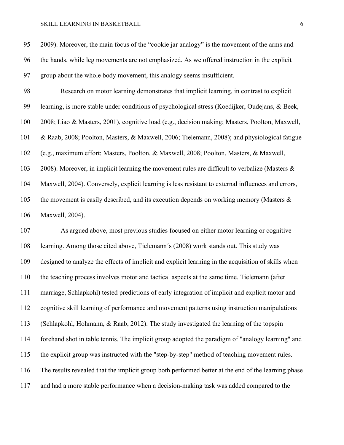2009). Moreover, the main focus of the "cookie jar analogy" is the movement of the arms and the hands, while leg movements are not emphasized. As we offered instruction in the explicit group about the whole body movement, this analogy seems insufficient. Research on motor learning demonstrates that implicit learning, in contrast to explicit

 learning, is more stable under conditions of psychological stress (Koedijker, Oudejans, & Beek, 2008; Liao & Masters, 2001), cognitive load (e.g., decision making; Masters, Poolton, Maxwell, & Raab, 2008; Poolton, Masters, & Maxwell, 2006; Tielemann, 2008); and physiological fatigue (e.g., maximum effort; Masters, Poolton, & Maxwell, 2008; Poolton, Masters, & Maxwell, 103 2008). Moreover, in implicit learning the movement rules are difficult to verbalize (Masters & Maxwell, 2004). Conversely, explicit learning is less resistant to external influences and errors, 105 the movement is easily described, and its execution depends on working memory (Masters & Maxwell, 2004).

 As argued above, most previous studies focused on either motor learning or cognitive learning. Among those cited above, Tielemann´s (2008) work stands out. This study was designed to analyze the effects of implicit and explicit learning in the acquisition of skills when the teaching process involves motor and tactical aspects at the same time. Tielemann (after marriage, Schlapkohl) tested predictions of early integration of implicit and explicit motor and cognitive skill learning of performance and movement patterns using instruction manipulations (Schlapkohl, Hohmann, & Raab, 2012). The study investigated the learning of the topspin forehand shot in table tennis. The implicit group adopted the paradigm of "analogy learning" and the explicit group was instructed with the "step-by-step" method of teaching movement rules. The results revealed that the implicit group both performed better at the end of the learning phase and had a more stable performance when a decision-making task was added compared to the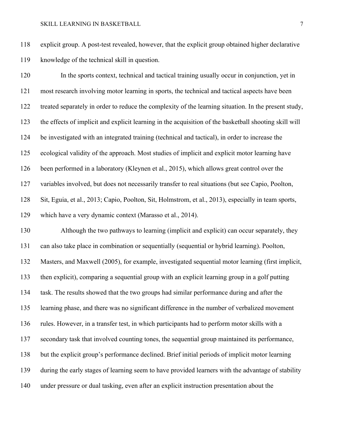explicit group. A post-test revealed, however, that the explicit group obtained higher declarative knowledge of the technical skill in question.

 In the sports context, technical and tactical training usually occur in conjunction, yet in most research involving motor learning in sports, the technical and tactical aspects have been treated separately in order to reduce the complexity of the learning situation. In the present study, the effects of implicit and explicit learning in the acquisition of the basketball shooting skill will be investigated with an integrated training (technical and tactical), in order to increase the ecological validity of the approach. Most studies of implicit and explicit motor learning have been performed in a laboratory (Kleynen et al., 2015), which allows great control over the variables involved, but does not necessarily transfer to real situations (but see Capio, Poolton, Sit, Eguia, et al., 2013; Capio, Poolton, Sit, Holmstrom, et al., 2013), especially in team sports, which have a very dynamic context (Marasso et al., 2014).

 Although the two pathways to learning (implicit and explicit) can occur separately, they can also take place in combination or sequentially (sequential or hybrid learning). Poolton, Masters, and Maxwell (2005), for example, investigated sequential motor learning (first implicit, then explicit), comparing a sequential group with an explicit learning group in a golf putting task. The results showed that the two groups had similar performance during and after the learning phase, and there was no significant difference in the number of verbalized movement rules. However, in a transfer test, in which participants had to perform motor skills with a secondary task that involved counting tones, the sequential group maintained its performance, but the explicit group's performance declined. Brief initial periods of implicit motor learning during the early stages of learning seem to have provided learners with the advantage of stability under pressure or dual tasking, even after an explicit instruction presentation about the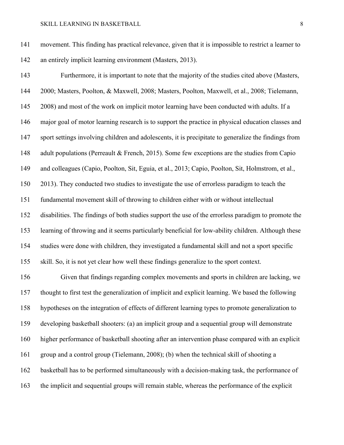movement. This finding has practical relevance, given that it is impossible to restrict a learner to an entirely implicit learning environment (Masters, 2013).

 Furthermore, it is important to note that the majority of the studies cited above (Masters, 2000; Masters, Poolton, & Maxwell, 2008; Masters, Poolton, Maxwell, et al., 2008; Tielemann, 2008) and most of the work on implicit motor learning have been conducted with adults. If a major goal of motor learning research is to support the practice in physical education classes and sport settings involving children and adolescents, it is precipitate to generalize the findings from 148 adult populations (Perreault & French, 2015). Some few exceptions are the studies from Capio and colleagues (Capio, Poolton, Sit, Eguia, et al., 2013; Capio, Poolton, Sit, Holmstrom, et al., 2013). They conducted two studies to investigate the use of errorless paradigm to teach the fundamental movement skill of throwing to children either with or without intellectual disabilities. The findings of both studies support the use of the errorless paradigm to promote the learning of throwing and it seems particularly beneficial for low-ability children. Although these studies were done with children, they investigated a fundamental skill and not a sport specific skill. So, it is not yet clear how well these findings generalize to the sport context.

 Given that findings regarding complex movements and sports in children are lacking, we thought to first test the generalization of implicit and explicit learning. We based the following hypotheses on the integration of effects of different learning types to promote generalization to developing basketball shooters: (a) an implicit group and a sequential group will demonstrate higher performance of basketball shooting after an intervention phase compared with an explicit group and a control group (Tielemann, 2008); (b) when the technical skill of shooting a basketball has to be performed simultaneously with a decision-making task, the performance of the implicit and sequential groups will remain stable, whereas the performance of the explicit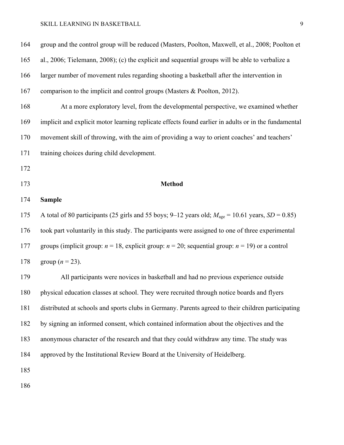| 164 | group and the control group will be reduced (Masters, Poolton, Maxwell, et al., 2008; Poolton et                |
|-----|-----------------------------------------------------------------------------------------------------------------|
| 165 | al., 2006; Tielemann, 2008); (c) the explicit and sequential groups will be able to verbalize a                 |
| 166 | larger number of movement rules regarding shooting a basketball after the intervention in                       |
| 167 | comparison to the implicit and control groups (Masters $\&$ Poolton, 2012).                                     |
| 168 | At a more exploratory level, from the developmental perspective, we examined whether                            |
| 169 | implicit and explicit motor learning replicate effects found earlier in adults or in the fundamental            |
| 170 | movement skill of throwing, with the aim of providing a way to orient coaches' and teachers'                    |
| 171 | training choices during child development.                                                                      |
| 172 |                                                                                                                 |
| 173 | <b>Method</b>                                                                                                   |
| 174 | <b>Sample</b>                                                                                                   |
| 175 | A total of 80 participants (25 girls and 55 boys; 9–12 years old; $M_{\text{age}} = 10.61$ years, $SD = 0.85$ ) |
| 176 | took part voluntarily in this study. The participants were assigned to one of three experimental                |
| 177 | groups (implicit group: $n = 18$ , explicit group: $n = 20$ ; sequential group: $n = 19$ ) or a control         |
| 178 | group ( $n = 23$ ).                                                                                             |
| 179 | All participants were novices in basketball and had no previous experience outside                              |
| 180 | physical education classes at school. They were recruited through notice boards and flyers                      |
| 181 | distributed at schools and sports clubs in Germany. Parents agreed to their children participating              |
| 182 | by signing an informed consent, which contained information about the objectives and the                        |
| 183 | anonymous character of the research and that they could withdraw any time. The study was                        |
| 184 | approved by the Institutional Review Board at the University of Heidelberg.                                     |
| 185 |                                                                                                                 |
| 186 |                                                                                                                 |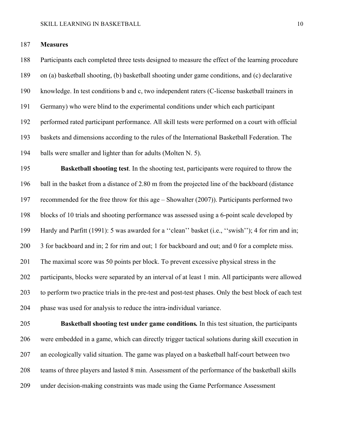## **Measures**

 Participants each completed three tests designed to measure the effect of the learning procedure on (a) basketball shooting, (b) basketball shooting under game conditions, and (c) declarative knowledge. In test conditions b and c, two independent raters (C-license basketball trainers in Germany) who were blind to the experimental conditions under which each participant performed rated participant performance. All skill tests were performed on a court with official baskets and dimensions according to the rules of the International Basketball Federation. The balls were smaller and lighter than for adults (Molten N. 5).

 **Basketball shooting test**. In the shooting test, participants were required to throw the ball in the basket from a distance of 2.80 m from the projected line of the backboard (distance recommended for the free throw for this age – Showalter (2007)). Participants performed two blocks of 10 trials and shooting performance was assessed using a 6-point scale developed by Hardy and Parfitt (1991): 5 was awarded for a ''clean'' basket (i.e., ''swish''); 4 for rim and in; 3 for backboard and in; 2 for rim and out; 1 for backboard and out; and 0 for a complete miss. The maximal score was 50 points per block. To prevent excessive physical stress in the participants, blocks were separated by an interval of at least 1 min. All participants were allowed to perform two practice trials in the pre-test and post-test phases. Only the best block of each test phase was used for analysis to reduce the intra-individual variance.

 **Basketball shooting test under game conditions***.* In this test situation, the participants were embedded in a game, which can directly trigger tactical solutions during skill execution in an ecologically valid situation. The game was played on a basketball half-court between two teams of three players and lasted 8 min. Assessment of the performance of the basketball skills under decision-making constraints was made using the Game Performance Assessment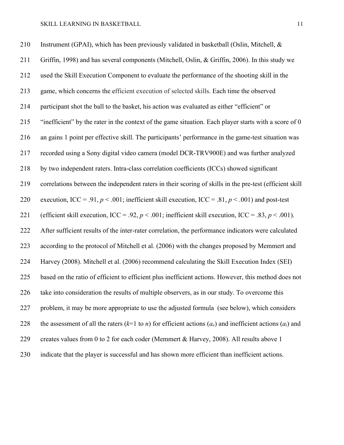| 210 | Instrument (GPAI), which has been previously validated in basketball (Oslin, Mitchell, &                                     |
|-----|------------------------------------------------------------------------------------------------------------------------------|
| 211 | Griffin, 1998) and has several components (Mitchell, Oslin, & Griffin, 2006). In this study we                               |
| 212 | used the Skill Execution Component to evaluate the performance of the shooting skill in the                                  |
| 213 | game, which concerns the efficient execution of selected skills. Each time the observed                                      |
| 214 | participant shot the ball to the basket, his action was evaluated as either "efficient" or                                   |
| 215 | "inefficient" by the rater in the context of the game situation. Each player starts with a score of 0                        |
| 216 | an gains 1 point per effective skill. The participants' performance in the game-test situation was                           |
| 217 | recorded using a Sony digital video camera (model DCR-TRV900E) and was further analyzed                                      |
| 218 | by two independent raters. Intra-class correlation coefficients (ICCs) showed significant                                    |
| 219 | correlations between the independent raters in their scoring of skills in the pre-test (efficient skill                      |
| 220 | execution, ICC = .91, $p < .001$ ; inefficient skill execution, ICC = .81, $p < .001$ ) and post-test                        |
| 221 | (efficient skill execution, ICC = .92, $p < .001$ ; inefficient skill execution, ICC = .83, $p < .001$ ).                    |
| 222 | After sufficient results of the inter-rater correlation, the performance indicators were calculated                          |
| 223 | according to the protocol of Mitchell et al. (2006) with the changes proposed by Memmert and                                 |
| 224 | Harvey (2008). Mitchell et al. (2006) recommend calculating the Skill Execution Index (SEI)                                  |
| 225 | based on the ratio of efficient to efficient plus inefficient actions. However, this method does not                         |
| 226 | take into consideration the results of multiple observers, as in our study. To overcome this                                 |
| 227 | problem, it may be more appropriate to use the adjusted formula (see below), which considers                                 |
| 228 | the assessment of all the raters ( $k=1$ to <i>n</i> ) for efficient actions ( $a_e$ ) and inefficient actions ( $a_i$ ) and |
| 229 | creates values from 0 to 2 for each coder (Memmert & Harvey, 2008). All results above 1                                      |
| 230 | indicate that the player is successful and has shown more efficient than inefficient actions.                                |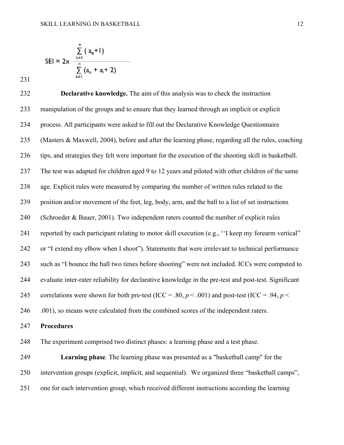$$
SEI = 2x \frac{\sum_{k=1}^{n} (a_e + I)}{\sum_{k=1}^{n} (a_e + a_i + 2)}
$$

 **Declarative knowledge.** The aim of this analysis was to check the instruction manipulation of the groups and to ensure that they learned through an implicit or explicit process. All participants were asked to fill out the Declarative Knowledge Questionnaire (Masters & Maxwell, 2004), before and after the learning phase, regarding all the rules, coaching tips, and strategies they felt were important for the execution of the shooting skill in basketball. The test was adapted for children aged 9 to 12 years and piloted with other children of the same age. Explicit rules were measured by comparing the number of written rules related to the position and/or movement of the feet, leg, body, arm, and the ball to a list of set instructions (Schroeder & Bauer, 2001). Two independent raters counted the number of explicit rules reported by each participant relating to motor skill execution (e.g., ''I keep my forearm vertical" or "I extend my elbow when I shoot"). Statements that were irrelevant to technical performance such as "I bounce the ball two times before shooting" were not included. ICCs were computed to evaluate inter-rater reliability for declarative knowledge in the pre-test and post-test. Significant 245 correlations were shown for both pre-test (ICC = .80,  $p < .001$ ) and post-test (ICC = .94,  $p < .001$ ) 246 .001), so means were calculated from the combined scores of the independent raters.

## **Procedures**

The experiment comprised two distinct phases: a learning phase and a test phase.

 **Learning phase***.* The learning phase was presented as a "basketball camp" for the intervention groups (explicit, implicit, and sequential). We organized three "basketball camps", one for each intervention group, which received different instructions according the learning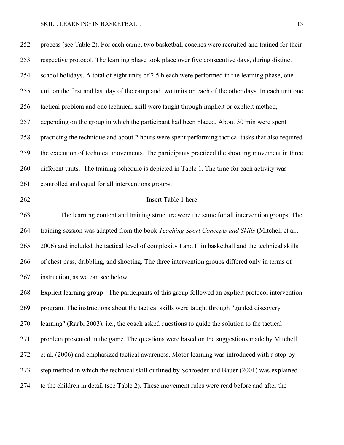process (see Table 2). For each camp, two basketball coaches were recruited and trained for their respective protocol. The learning phase took place over five consecutive days, during distinct school holidays. A total of eight units of 2.5 h each were performed in the learning phase, one unit on the first and last day of the camp and two units on each of the other days. In each unit one tactical problem and one technical skill were taught through implicit or explicit method, depending on the group in which the participant had been placed. About 30 min were spent practicing the technique and about 2 hours were spent performing tactical tasks that also required the execution of technical movements. The participants practiced the shooting movement in three different units. The training schedule is depicted in Table 1. The time for each activity was controlled and equal for all interventions groups. Insert Table 1 here The learning content and training structure were the same for all intervention groups. The training session was adapted from the book *Teaching Sport Concepts and Skills* (Mitchell et al., 2006) and included the tactical level of complexity I and II in basketball and the technical skills of chest pass, dribbling, and shooting. The three intervention groups differed only in terms of instruction, as we can see below. Explicit learning group - The participants of this group followed an explicit protocol intervention program. The instructions about the tactical skills were taught through "guided discovery learning" (Raab, 2003), i.e., the coach asked questions to guide the solution to the tactical problem presented in the game. The questions were based on the suggestions made by Mitchell et al. (2006) and emphasized tactical awareness. Motor learning was introduced with a step-by-step method in which the technical skill outlined by Schroeder and Bauer (2001) was explained

to the children in detail (see Table 2). These movement rules were read before and after the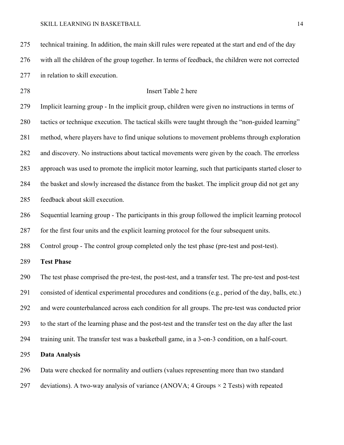technical training. In addition, the main skill rules were repeated at the start and end of the day with all the children of the group together. In terms of feedback, the children were not corrected in relation to skill execution.

# Insert Table 2 here

 Implicit learning group - In the implicit group, children were given no instructions in terms of tactics or technique execution. The tactical skills were taught through the "non-guided learning" method, where players have to find unique solutions to movement problems through exploration and discovery. No instructions about tactical movements were given by the coach. The errorless approach was used to promote the implicit motor learning, such that participants started closer to the basket and slowly increased the distance from the basket. The implicit group did not get any feedback about skill execution.

Sequential learning group - The participants in this group followed the implicit learning protocol

for the first four units and the explicit learning protocol for the four subsequent units.

Control group - The control group completed only the test phase (pre-test and post-test).

**Test Phase**

 The test phase comprised the pre-test, the post-test, and a transfer test. The pre-test and post-test consisted of identical experimental procedures and conditions (e.g., period of the day, balls, etc.) and were counterbalanced across each condition for all groups. The pre-test was conducted prior to the start of the learning phase and the post-test and the transfer test on the day after the last training unit. The transfer test was a basketball game, in a 3-on-3 condition, on a half-court.

## **Data Analysis**

Data were checked for normality and outliers (values representing more than two standard

297 deviations). A two-way analysis of variance (ANOVA; Groups  $\times$  2 Tests) with repeated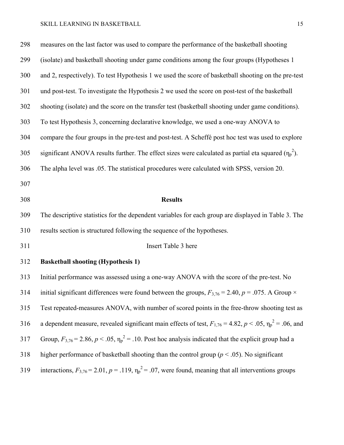| 298 | measures on the last factor was used to compare the performance of the basketball shooting                             |
|-----|------------------------------------------------------------------------------------------------------------------------|
| 299 | (isolate) and basketball shooting under game conditions among the four groups (Hypotheses 1                            |
| 300 | and 2, respectively). To test Hypothesis 1 we used the score of basketball shooting on the pre-test                    |
| 301 | und post-test. To investigate the Hypothesis 2 we used the score on post-test of the basketball                        |
| 302 | shooting (isolate) and the score on the transfer test (basketball shooting under game conditions).                     |
| 303 | To test Hypothesis 3, concerning declarative knowledge, we used a one-way ANOVA to                                     |
| 304 | compare the four groups in the pre-test and post-test. A Scheffé post hoc test was used to explore                     |
| 305 | significant ANOVA results further. The effect sizes were calculated as partial eta squared $(\eta_p^2)$ .              |
| 306 | The alpha level was .05. The statistical procedures were calculated with SPSS, version 20.                             |
| 307 |                                                                                                                        |
| 308 | <b>Results</b>                                                                                                         |
| 309 | The descriptive statistics for the dependent variables for each group are displayed in Table 3. The                    |
|     |                                                                                                                        |
| 310 | results section is structured following the sequence of the hypotheses.                                                |
| 311 | Insert Table 3 here                                                                                                    |
| 312 | <b>Basketball shooting (Hypothesis 1)</b>                                                                              |
| 313 | Initial performance was assessed using a one-way ANOVA with the score of the pre-test. No                              |
| 314 | initial significant differences were found between the groups, $F_{3,76} = 2.40$ , $p = .075$ . A Group $\times$       |
| 315 | Test repeated-measures ANOVA, with number of scored points in the free-throw shooting test as                          |
| 316 | a dependent measure, revealed significant main effects of test, $F_{1,76} = 4.82$ , $p < .05$ , $\eta_p^2 = .06$ , and |
| 317 | Group, $F_{3,76}$ = 2.86, $p < .05$ , $\eta_p^2$ = .10. Post hoc analysis indicated that the explicit group had a      |
| 318 | higher performance of basketball shooting than the control group ( $p < .05$ ). No significant                         |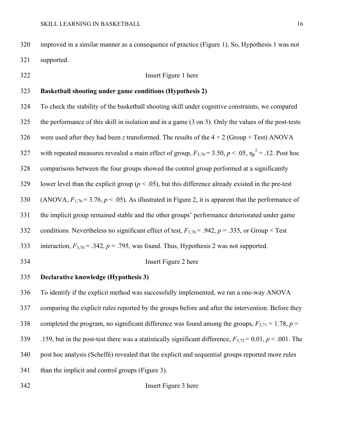improved in a similar manner as a consequence of practice (Figure 1). So, Hypothesis 1 was not supported.

## Insert Figure 1 here

# **Basketball shooting under game conditions (Hypothesis 2)**

 To check the stability of the basketball shooting skill under cognitive constraints, we compared the performance of this skill in isolation and in a game (3 on 3). Only the values of the post-tests 326 were used after they had been *z* transformed. The results of the  $4 \times 2$  (Group  $\times$  Test) ANOVA 327 with repeated measures revealed a main effect of group,  $F_{3,76} = 3.50, p < .05, \eta_p^2 = .12$ . Post hoc comparisons between the four groups showed the control group performed at a significantly 329 lower level than the explicit group ( $p < .05$ ), but this difference already existed in the pre-test 330 (ANOVA,  $F_{1,76} = 3.76$ ,  $p < .05$ ). As illustrated in Figure 2, it is apparent that the performance of the implicit group remained stable and the other groups' performance deteriorated under game 332 conditions. Nevertheless no significant effect of test,  $F_{1,76} = .942$ ,  $p = .335$ , or Group  $\times$  Test 333 interaction,  $F_{3,76} = .342$ ,  $p = .795$ , was found. Thus, Hypothesis 2 was not supported. Insert Figure 2 here **Declarative knowledge (Hypothesis 3)** To identify if the explicit method was successfully implemented, we ran a one-way ANOVA comparing the explicit rules reported by the groups before and after the intervention. Before they

- 338 completed the program, no significant difference was found among the groups,  $F_{3,71} = 1.78$ ,  $p =$
- .159, but in the post-test there was a statistically significant difference, *F*3,72 = 0.01, *p* < .001. The
- post hoc analysis (Scheffé) revealed that the explicit and sequential groups reported more rules

than the implicit and control groups (Figure 3).

#### Insert Figure 3 here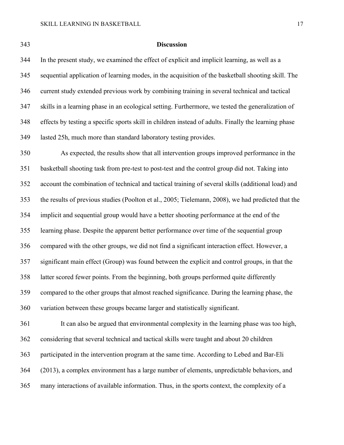#### **Discussion**

 In the present study, we examined the effect of explicit and implicit learning, as well as a sequential application of learning modes, in the acquisition of the basketball shooting skill. The current study extended previous work by combining training in several technical and tactical skills in a learning phase in an ecological setting. Furthermore, we tested the generalization of effects by testing a specific sports skill in children instead of adults. Finally the learning phase lasted 25h, much more than standard laboratory testing provides.

 As expected, the results show that all intervention groups improved performance in the basketball shooting task from pre-test to post-test and the control group did not. Taking into account the combination of technical and tactical training of several skills (additional load) and the results of previous studies (Poolton et al., 2005; Tielemann, 2008), we had predicted that the implicit and sequential group would have a better shooting performance at the end of the learning phase. Despite the apparent better performance over time of the sequential group compared with the other groups, we did not find a significant interaction effect. However, a significant main effect (Group) was found between the explicit and control groups, in that the latter scored fewer points. From the beginning, both groups performed quite differently compared to the other groups that almost reached significance. During the learning phase, the variation between these groups became larger and statistically significant.

 It can also be argued that environmental complexity in the learning phase was too high, considering that several technical and tactical skills were taught and about 20 children participated in the intervention program at the same time. According to Lebed and Bar-Eli (2013), a complex environment has a large number of elements, unpredictable behaviors, and many interactions of available information. Thus, in the sports context, the complexity of a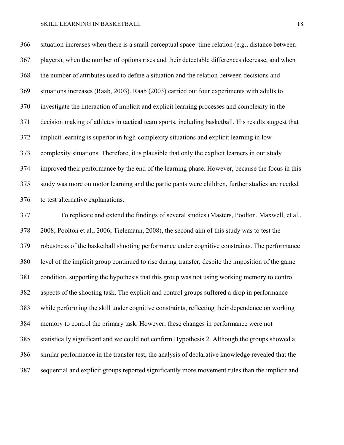situation increases when there is a small perceptual space–time relation (e.g., distance between players), when the number of options rises and their detectable differences decrease, and when the number of attributes used to define a situation and the relation between decisions and situations increases (Raab, 2003). Raab (2003) carried out four experiments with adults to investigate the interaction of implicit and explicit learning processes and complexity in the decision making of athletes in tactical team sports, including basketball. His results suggest that implicit learning is superior in high-complexity situations and explicit learning in low- complexity situations. Therefore, it is plausible that only the explicit learners in our study improved their performance by the end of the learning phase. However, because the focus in this study was more on motor learning and the participants were children, further studies are needed to test alternative explanations.

 To replicate and extend the findings of several studies (Masters, Poolton, Maxwell, et al., 2008; Poolton et al., 2006; Tielemann, 2008), the second aim of this study was to test the robustness of the basketball shooting performance under cognitive constraints. The performance level of the implicit group continued to rise during transfer, despite the imposition of the game condition, supporting the hypothesis that this group was not using working memory to control aspects of the shooting task. The explicit and control groups suffered a drop in performance while performing the skill under cognitive constraints, reflecting their dependence on working memory to control the primary task. However, these changes in performance were not statistically significant and we could not confirm Hypothesis 2. Although the groups showed a similar performance in the transfer test, the analysis of declarative knowledge revealed that the sequential and explicit groups reported significantly more movement rules than the implicit and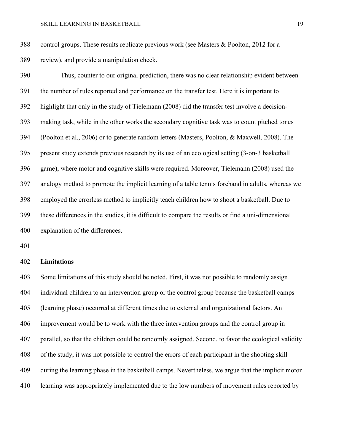control groups. These results replicate previous work (see Masters & Poolton, 2012 for a review), and provide a manipulation check.

 Thus, counter to our original prediction, there was no clear relationship evident between the number of rules reported and performance on the transfer test. Here it is important to highlight that only in the study of Tielemann (2008) did the transfer test involve a decision- making task, while in the other works the secondary cognitive task was to count pitched tones (Poolton et al., 2006) or to generate random letters (Masters, Poolton, & Maxwell, 2008). The present study extends previous research by its use of an ecological setting (3-on-3 basketball game), where motor and cognitive skills were required. Moreover, Tielemann (2008) used the analogy method to promote the implicit learning of a table tennis forehand in adults, whereas we employed the errorless method to implicitly teach children how to shoot a basketball. Due to these differences in the studies, it is difficult to compare the results or find a uni-dimensional explanation of the differences.

### **Limitations**

 Some limitations of this study should be noted. First, it was not possible to randomly assign individual children to an intervention group or the control group because the basketball camps (learning phase) occurred at different times due to external and organizational factors. An improvement would be to work with the three intervention groups and the control group in parallel, so that the children could be randomly assigned. Second, to favor the ecological validity of the study, it was not possible to control the errors of each participant in the shooting skill during the learning phase in the basketball camps. Nevertheless, we argue that the implicit motor learning was appropriately implemented due to the low numbers of movement rules reported by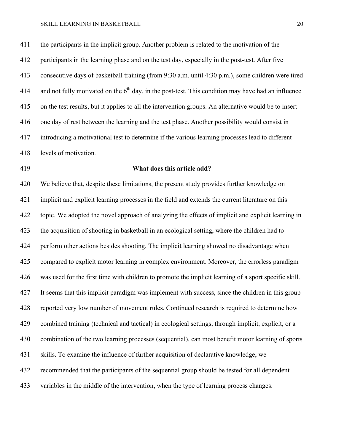the participants in the implicit group. Another problem is related to the motivation of the participants in the learning phase and on the test day, especially in the post-test. After five consecutive days of basketball training (from 9:30 a.m. until 4:30 p.m.), some children were tired 414 and not fully motivated on the  $6<sup>th</sup>$  day, in the post-test. This condition may have had an influence on the test results, but it applies to all the intervention groups. An alternative would be to insert one day of rest between the learning and the test phase. Another possibility would consist in introducing a motivational test to determine if the various learning processes lead to different levels of motivation.

## **What does this article add?**

 We believe that, despite these limitations, the present study provides further knowledge on implicit and explicit learning processes in the field and extends the current literature on this topic. We adopted the novel approach of analyzing the effects of implicit and explicit learning in the acquisition of shooting in basketball in an ecological setting, where the children had to perform other actions besides shooting. The implicit learning showed no disadvantage when compared to explicit motor learning in complex environment. Moreover, the errorless paradigm was used for the first time with children to promote the implicit learning of a sport specific skill. It seems that this implicit paradigm was implement with success, since the children in this group reported very low number of movement rules. Continued research is required to determine how combined training (technical and tactical) in ecological settings, through implicit, explicit, or a combination of the two learning processes (sequential), can most benefit motor learning of sports skills. To examine the influence of further acquisition of declarative knowledge, we recommended that the participants of the sequential group should be tested for all dependent variables in the middle of the intervention, when the type of learning process changes.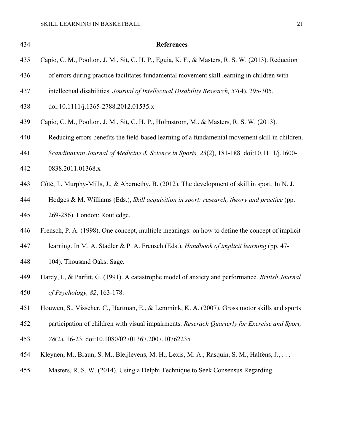| 434 | <b>References</b>                                                                                |
|-----|--------------------------------------------------------------------------------------------------|
| 435 | Capio, C. M., Poolton, J. M., Sit, C. H. P., Eguia, K. F., & Masters, R. S. W. (2013). Reduction |
| 436 | of errors during practice facilitates fundamental movement skill learning in children with       |
| 437 | intellectual disabilities. Journal of Intellectual Disability Research, 57(4), 295-305.          |
| 438 | doi:10.1111/j.1365-2788.2012.01535.x                                                             |
| 439 | Capio, C. M., Poolton, J. M., Sit, C. H. P., Holmstrom, M., & Masters, R. S. W. (2013).          |
| 440 | Reducing errors benefits the field-based learning of a fundamental movement skill in children.   |
| 441 | Scandinavian Journal of Medicine & Science in Sports, 23(2), 181-188. doi:10.1111/j.1600-        |
| 442 | 0838.2011.01368.x                                                                                |
| 443 | Côté, J., Murphy-Mills, J., & Abernethy, B. (2012). The development of skill in sport. In N. J.  |
| 444 | Hodges & M. Williams (Eds.), Skill acquisition in sport: research, theory and practice (pp.      |
| 445 | 269-286). London: Routledge.                                                                     |
| 446 | Frensch, P. A. (1998). One concept, multiple meanings: on how to define the concept of implicit  |
| 447 | learning. In M. A. Stadler & P. A. Frensch (Eds.), Handbook of implicit learning (pp. 47-        |
| 448 | 104). Thousand Oaks: Sage.                                                                       |
| 449 | Hardy, I., & Parfitt, G. (1991). A catastrophe model of anxiety and performance. British Journal |
| 450 | of Psychology, 82, 163-178.                                                                      |
| 451 | Houwen, S., Visscher, C., Hartman, E., & Lemmink, K. A. (2007). Gross motor skills and sports    |
| 452 | participation of children with visual impairments. Reserach Quarterly for Exercise and Sport,    |
| 453 | 78(2), 16-23. doi:10.1080/02701367.2007.10762235                                                 |
| 454 | Kleynen, M., Braun, S. M., Bleijlevens, M. H., Lexis, M. A., Rasquin, S. M., Halfens, J.,        |
| 455 | Masters, R. S. W. (2014). Using a Delphi Technique to Seek Consensus Regarding                   |
|     |                                                                                                  |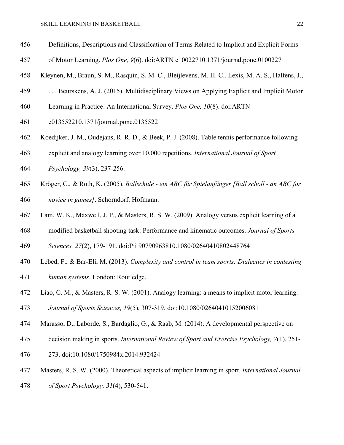- Definitions, Descriptions and Classification of Terms Related to Implicit and Explicit Forms
- of Motor Learning. *Plos One, 9*(6). doi:ARTN e10022710.1371/journal.pone.0100227
- Kleynen, M., Braun, S. M., Rasquin, S. M. C., Bleijlevens, M. H. C., Lexis, M. A. S., Halfens, J.,
- . . . Beurskens, A. J. (2015). Multidisciplinary Views on Applying Explicit and Implicit Motor
- Learning in Practice: An International Survey. *Plos One, 10*(8). doi:ARTN
- e013552210.1371/journal.pone.0135522
- Koedijker, J. M., Oudejans, R. R. D., & Beek, P. J. (2008). Table tennis performance following
- explicit and analogy learning over 10,000 repetitions. *International Journal of Sport*
- *Psychology, 39*(3), 237-256.
- Kröger, C., & Roth, K. (2005). *Ballschule - ein ABC für Spielanfänger [Ball scholl - an ABC for novice in games]*. Schorndorf: Hofmann.
- Lam, W. K., Maxwell, J. P., & Masters, R. S. W. (2009). Analogy versus explicit learning of a
- modified basketball shooting task: Performance and kinematic outcomes. *Journal of Sports*

*Sciences, 27*(2), 179-191. doi:Pii 90790963810.1080/02640410802448764

- Lebed, F., & Bar-Eli, M. (2013). *Complexity and control in team sports: Dialectics in contesting*
- *human systems*. London: Routledge.
- Liao, C. M., & Masters, R. S. W. (2001). Analogy learning: a means to implicit motor learning.
- *Journal of Sports Sciences, 19*(5), 307-319. doi:10.1080/02640410152006081
- Marasso, D., Laborde, S., Bardaglio, G., & Raab, M. (2014). A developmental perspective on
- decision making in sports. *International Review of Sport and Exercise Psychology, 7*(1), 251-
- 273. doi:10.1080/1750984x.2014.932424
- Masters, R. S. W. (2000). Theoretical aspects of implicit learning in sport. *International Journal*
- *of Sport Psychology, 31*(4), 530-541.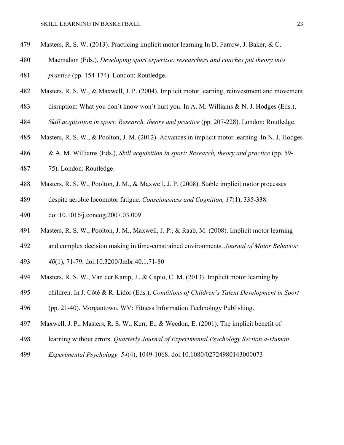- Masters, R. S. W. (2013). Practicing implicit motor learning In D. Farrow, J. Baker, & C.
- Macmahon (Eds.), *Developing sport expertise: researchers and coaches put theory into*
- *practice* (pp. 154-174). London: Routledge.
- Masters, R. S. W., & Maxwell, J. P. (2004). Implicit motor learning, reinvestment and movement
- disruption: What you don´t know won´t hurt you. In A. M. Williams & N. J. Hodges (Eds.),
- *Skill acquisition in sport: Research, theory and practice* (pp. 207-228). London: Routledge.
- Masters, R. S. W., & Poolton, J. M. (2012). Advances in implicit motor learning. In N. J. Hodges
- & A. M. Williams (Eds.), *Skill acquisition in sport: Research, theory and practice* (pp. 59-
- 75). London: Routledge.
- Masters, R. S. W., Poolton, J. M., & Maxwell, J. P. (2008). Stable implicit motor processes
- despite aerobic locomotor fatigue. *Consciousness and Cognition, 17*(1), 335-338.
- doi:10.1016/j.concog.2007.03.009
- Masters, R. S. W., Poolton, J. M., Maxwell, J. P., & Raab, M. (2008). Implicit motor learning
- and complex decision making in time-constrained environments. *Journal of Motor Behavior,*
- *40*(1), 71-79. doi:10.3200/Jmbr.40.1.71-80
- Masters, R. S. W., Van der Kamp, J., & Capio, C. M. (2013). Implicit motor learning by
- children. In J. Côté & R. Lidor (Eds.), *Conditions of Children's Talent Development in Sport*
- (pp. 21-40). Morgantown, WV: Fitness Information Technology Publishing.
- Maxwell, J. P., Masters, R. S. W., Kerr, E., & Weedon, E. (2001). The implicit benefit of
- learning without errors. *Quarterly Journal of Experimental Psychology Section a-Human*
- *Experimental Psychology, 54*(4), 1049-1068. doi:10.1080/02724980143000073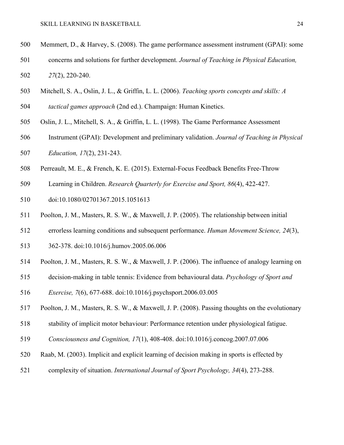- Memmert, D., & Harvey, S. (2008). The game performance assessment instrument (GPAI): some
- concerns and solutions for further development. *Journal of Teaching in Physical Education, 27*(2), 220-240.
- Mitchell, S. A., Oslin, J. L., & Griffin, L. L. (2006). *Teaching sports concepts and skills: A*
- *tactical games approach* (2nd ed.). Champaign: Human Kinetics.
- Oslin, J. L., Mitchell, S. A., & Griffin, L. L. (1998). The Game Performance Assessment
- Instrument (GPAI): Development and preliminary validation. *Journal of Teaching in Physical Education, 17*(2), 231-243.
- Perreault, M. E., & French, K. E. (2015). External-Focus Feedback Benefits Free-Throw
- Learning in Children. *Research Quarterly for Exercise and Sport, 86*(4), 422-427.
- doi:10.1080/02701367.2015.1051613
- Poolton, J. M., Masters, R. S. W., & Maxwell, J. P. (2005). The relationship between initial
- errorless learning conditions and subsequent performance. *Human Movement Science, 24*(3),
- 362-378. doi:10.1016/j.humov.2005.06.006
- Poolton, J. M., Masters, R. S. W., & Maxwell, J. P. (2006). The influence of analogy learning on
- decision-making in table tennis: Evidence from behavioural data. *Psychology of Sport and*
- *Exercise, 7*(6), 677-688. doi:10.1016/j.psychsport.2006.03.005
- Poolton, J. M., Masters, R. S. W., & Maxwell, J. P. (2008). Passing thoughts on the evolutionary
- stability of implicit motor behaviour: Performance retention under physiological fatigue.
- *Consciousness and Cognition, 17*(1), 408-408. doi:10.1016/j.concog.2007.07.006
- Raab, M. (2003). Implicit and explicit learning of decision making in sports is effected by
- complexity of situation. *International Journal of Sport Psychology, 34*(4), 273-288.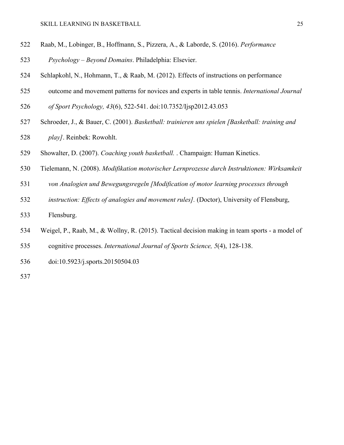- Raab, M., Lobinger, B., Hoffmann, S., Pizzera, A., & Laborde, S. (2016). *Performance*
- *Psychology – Beyond Domains*. Philadelphia: Elsevier.
- Schlapkohl, N., Hohmann, T., & Raab, M. (2012). Effects of instructions on performance
- outcome and movement patterns for novices and experts in table tennis. *International Journal*
- *of Sport Psychology, 43*(6), 522-541. doi:10.7352/Ijsp2012.43.053
- Schroeder, J., & Bauer, C. (2001). *Basketball: trainieren uns spielen [Basketball: training and play]*. Reinbek: Rowohlt.
- Showalter, D. (2007). *Coaching youth basketball.* . Champaign: Human Kinetics.
- Tielemann, N. (2008). *Modifikation motorischer Lernprozesse durch Instruktionen: Wirksamkeit*
- *von Analogien und Bewegungsregeln [Modification of motor learning processes through*
- *instruction: Effects of analogies and movement rules].* (Doctor), University of Flensburg,
- Flensburg.
- Weigel, P., Raab, M., & Wollny, R. (2015). Tactical decision making in team sports a model of
- cognitive processes. *International Journal of Sports Science, 5*(4), 128-138.
- doi:10.5923/j.sports.20150504.03
-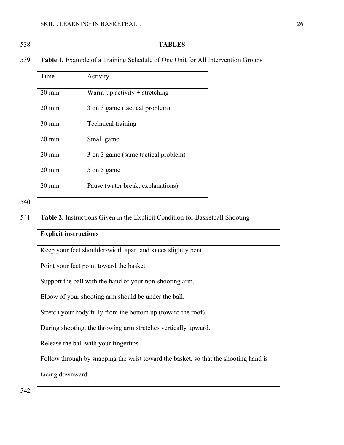## 538 **TABLES**

539 **Table 1.** Example of a Training Schedule of One Unit for All Intervention Groups

| Time             | Activity                            |
|------------------|-------------------------------------|
| $20 \text{ min}$ | Warm-up activity $+$ stretching     |
| $20 \text{ min}$ | 3 on 3 game (tactical problem)      |
| $30 \text{ min}$ | Technical training                  |
| $20 \text{ min}$ | Small game                          |
| $20 \text{ min}$ | 3 on 3 game (same tactical problem) |
| $20 \text{ min}$ | 5 on 5 game                         |
| $20 \text{ min}$ | Pause (water break, explanations)   |

541 **Table 2.** Instructions Given in the Explicit Condition for Basketball Shooting

# **Explicit instructions**

Keep your feet shoulder-width apart and knees slightly bent.

Point your feet point toward the basket.

Support the ball with the hand of your non-shooting arm.

Elbow of your shooting arm should be under the ball.

Stretch your body fully from the bottom up (toward the roof).

During shooting, the throwing arm stretches vertically upward.

Release the ball with your fingertips.

Follow through by snapping the wrist toward the basket, so that the shooting hand is

facing downward.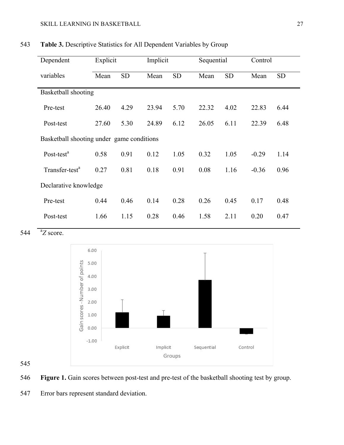| Dependent                                 | Explicit |           | Implicit |           | Sequential |           | Control |           |
|-------------------------------------------|----------|-----------|----------|-----------|------------|-----------|---------|-----------|
| variables                                 | Mean     | <b>SD</b> | Mean     | <b>SD</b> | Mean       | <b>SD</b> | Mean    | <b>SD</b> |
| Basketball shooting                       |          |           |          |           |            |           |         |           |
| Pre-test                                  | 26.40    | 4.29      | 23.94    | 5.70      | 22.32      | 4.02      | 22.83   | 6.44      |
| Post-test                                 | 27.60    | 5.30      | 24.89    | 6.12      | 26.05      | 6.11      | 22.39   | 6.48      |
| Basketball shooting under game conditions |          |           |          |           |            |           |         |           |
| Post-test <sup>a</sup>                    | 0.58     | 0.91      | 0.12     | 1.05      | 0.32       | 1.05      | $-0.29$ | 1.14      |
| Transfer-test <sup>a</sup>                | 0.27     | 0.81      | 0.18     | 0.91      | 0.08       | 1.16      | $-0.36$ | 0.96      |
| Declarative knowledge                     |          |           |          |           |            |           |         |           |
| Pre-test                                  | 0.44     | 0.46      | 0.14     | 0.28      | 0.26       | 0.45      | 0.17    | 0.48      |
| Post-test                                 | 1.66     | 1.15      | 0.28     | 0.46      | 1.58       | 2.11      | 0.20    | 0.47      |

543 **Table 3.** Descriptive Statistics for All Dependent Variables by Group

544 <sup>a</sup>Z score.



# 545

546 **Figure 1.** Gain scores between post-test and pre-test of the basketball shooting test by group.

547 Error bars represent standard deviation.